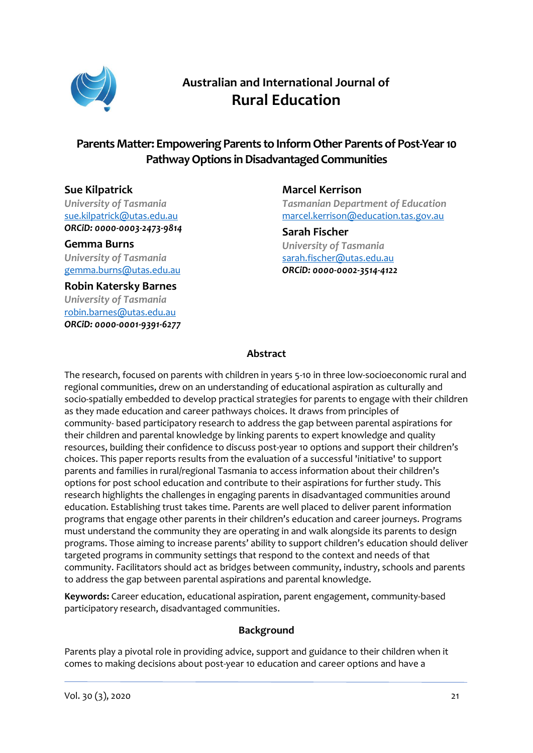

# **Australian and International Journal of Rural Education**

# **Parents Matter: Empowering Parents to Inform Other Parents of Post-Year10 PathwayOptions in Disadvantaged Communities**

## **Sue Kilpatrick**

*University of Tasmania* [sue.kilpatrick@utas.edu.au](mailto:sue.kilpatrick@utas.edu.au) *ORCiD: [0000-0003-2473-9814](https://orcid.org/0000-0003-2473-9814)*

**Gemma Burns** *University of Tasmania* [gemma.burns@utas.edu.au](mailto:gemma.burns@utas.edu.au)

**Robin Katersky Barnes** *University of Tasmania* [robin.barnes@utas.edu.au](mailto:robin.barnes@utas.edu.au) *ORCiD: [0000-0001-9391-6277](https://orcid.org/0000-0001-9391-6277)* **Marcel Kerrison** *Tasmanian Department of Education* [marcel.kerrison@education.tas.gov.au](mailto:marcel.kerrison@education.tas.gov.au)

**Sarah Fischer** *University of Tasmania* [sarah.fischer@utas.edu.au](mailto:sarah.fischer@utas.edu.au) *ORCiD: [0000-0002-3514-4122](https://orcid.org/0000-0002-3514-4122)*

## **Abstract**

The research, focused on parents with children in years 5-10 in three low-socioeconomic rural and regional communities, drew on an understanding of educational aspiration as culturally and socio-spatially embedded to develop practical strategies for parents to engage with their children as they made education and career pathways choices. It draws from principles of community- based participatory research to address the gap between parental aspirations for their children and parental knowledge by linking parents to expert knowledge and quality resources, building their confidence to discuss post-year 10 options and support their children's choices. This paper reports results from the evaluation of a successful 'initiative' to support parents and families in rural/regional Tasmania to access information about their children's options for post school education and contribute to their aspirations for further study. This research highlights the challenges in engaging parents in disadvantaged communities around education. Establishing trust takes time. Parents are well placed to deliver parent information programs that engage other parents in their children's education and career journeys. Programs must understand the community they are operating in and walk alongside its parents to design programs. Those aiming to increase parents' ability to support children's education should deliver targeted programs in community settings that respond to the context and needs of that community. Facilitators should act as bridges between community, industry, schools and parents to address the gap between parental aspirations and parental knowledge.

**Keywords:** Career education, educational aspiration, parent engagement, community-based participatory research, disadvantaged communities.

#### **Background**

Parents play a pivotal role in providing advice, support and guidance to their children when it comes to making decisions about post-year 10 education and career options and have a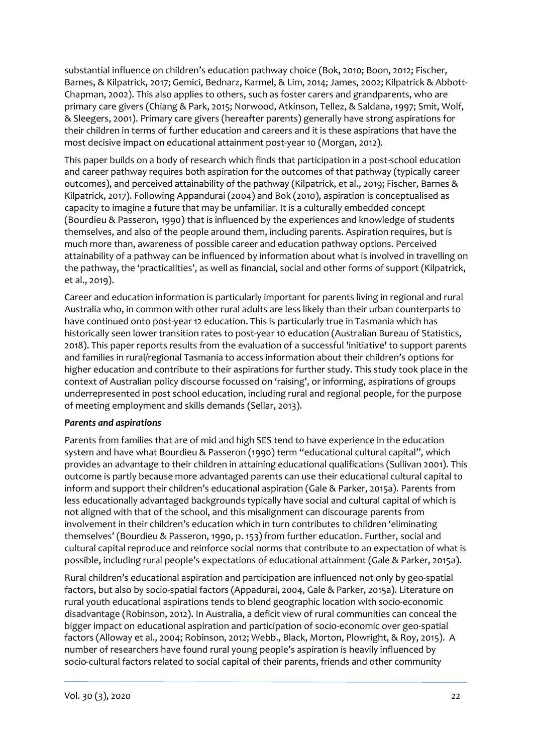substantial influence on children's education pathway choice (Bok, 2010; Boon, 2012; Fischer, Barnes, & Kilpatrick, 2017; Gemici, Bednarz, Karmel, & Lim, 2014; James, 2002; Kilpatrick & Abbott-Chapman, 2002). This also applies to others, such as foster carers and grandparents, who are primary care givers (Chiang & Park, 2015; Norwood, Atkinson, Tellez, & Saldana, 1997; Smit, Wolf, & Sleegers, 2001). Primary care givers (hereafter parents) generally have strong aspirations for their children in terms of further education and careers and it is these aspirations that have the most decisive impact on educational attainment post-year 10 (Morgan, 2012).

This paper builds on a body of research which finds that participation in a post-school education and career pathway requires both aspiration for the outcomes of that pathway (typically career outcomes), and perceived attainability of the pathway (Kilpatrick, et al., 2019; Fischer, Barnes & Kilpatrick, 2017). Following Appandurai (2004) and Bok (2010), aspiration is conceptualised as capacity to imagine a future that may be unfamiliar. It is a culturally embedded concept (Bourdieu & Passeron, 1990) that is influenced by the experiences and knowledge of students themselves, and also of the people around them, including parents. Aspiration requires, but is much more than, awareness of possible career and education pathway options. Perceived attainability of a pathway can be influenced by information about what is involved in travelling on the pathway, the 'practicalities', as well as financial, social and other forms of support (Kilpatrick, et al., 2019).

Career and education information is particularly important for parents living in regional and rural Australia who, in common with other rural adults are less likely than their urban counterparts to have continued onto post-year 12 education. This is particularly true in Tasmania which has historically seen lower transition rates to post-year 10 education (Australian Bureau of Statistics, 2018). This paper reports results from the evaluation of a successful 'initiative' to support parents and families in rural/regional Tasmania to access information about their children's options for higher education and contribute to their aspirations for further study. This study took place in the context of Australian policy discourse focussed on 'raising', or informing, aspirations of groups underrepresented in post school education, including rural and regional people, for the purpose of meeting employment and skills demands (Sellar, 2013).

#### *Parents and aspirations*

Parents from families that are of mid and high SES tend to have experience in the education system and have what Bourdieu & Passeron (1990) term "educational cultural capital", which provides an advantage to their children in attaining educational qualifications (Sullivan 2001). This outcome is partly because more advantaged parents can use their educational cultural capital to inform and support their children's educational aspiration (Gale & Parker, 2015a). Parents from less educationally advantaged backgrounds typically have social and cultural capital of which is not aligned with that of the school, and this misalignment can discourage parents from involvement in their children's education which in turn contributes to children 'eliminating themselves' (Bourdieu & Passeron, 1990, p. 153) from further education. Further, social and cultural capital reproduce and reinforce social norms that contribute to an expectation of what is possible, including rural people's expectations of educational attainment (Gale & Parker, 2015a).

Rural children's educational aspiration and participation are influenced not only by geo-spatial factors, but also by socio-spatial factors (Appadurai, 2004, Gale & Parker, 2015a). Literature on rural youth educational aspirations tends to blend geographic location with socio-economic disadvantage (Robinson, 2012). In Australia, a deficit view of rural communities can conceal the bigger impact on educational aspiration and participation of socio-economic over geo-spatial factors (Alloway et al., 2004; Robinson, 2012; Webb., Black, Morton, Plowright, & Roy, 2015). A number of researchers have found rural young people's aspiration is heavily influenced by socio-cultural factors related to social capital of their parents, friends and other community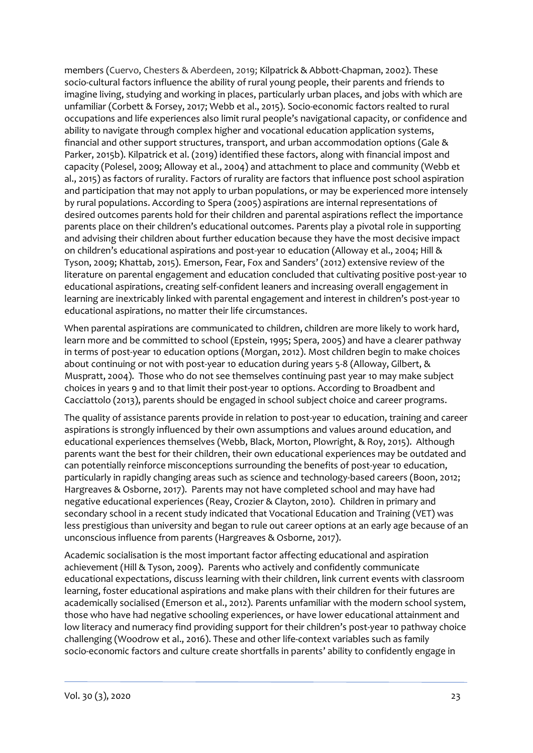members (Cuervo, Chesters & Aberdeen, 2019; Kilpatrick & Abbott-Chapman, 2002). These socio-cultural factors influence the ability of rural young people, their parents and friends to imagine living, studying and working in places, particularly urban places, and jobs with which are unfamiliar (Corbett & Forsey, 2017; Webb et al., 2015). Socio-economic factors realted to rural occupations and life experiences also limit rural people's navigational capacity, or confidence and ability to navigate through complex higher and vocational education application systems, financial and other support structures, transport, and urban accommodation options (Gale & Parker, 2015b). Kilpatrick et al. (2019) identified these factors, along with financial impost and capacity (Polesel, 2009; Alloway et al., 2004) and attachment to place and community (Webb et al., 2015) as factors of rurality. Factors of rurality are factors that influence post school aspiration and participation that may not apply to urban populations, or may be experienced more intensely by rural populations. According to Spera (2005) aspirations are internal representations of desired outcomes parents hold for their children and parental aspirations reflect the importance parents place on their children's educational outcomes. Parents play a pivotal role in supporting and advising their children about further education because they have the most decisive impact on children's educational aspirations and post-year 10 education (Alloway et al., 2004; Hill & Tyson, 2009; Khattab, 2015). Emerson, Fear, Fox and Sanders' (2012) extensive review of the literature on parental engagement and education concluded that cultivating positive post-year 10 educational aspirations, creating self-confident leaners and increasing overall engagement in learning are inextricably linked with parental engagement and interest in children's post-year 10 educational aspirations, no matter their life circumstances.

When parental aspirations are communicated to children, children are more likely to work hard, learn more and be committed to school (Epstein, 1995; Spera, 2005) and have a clearer pathway in terms of post-year 10 education options (Morgan, 2012). Most children begin to make choices about continuing or not with post-year 10 education during years 5-8 (Alloway, Gilbert, & Muspratt, 2004). Those who do not see themselves continuing past year 10 may make subject choices in years 9 and 10 that limit their post-year 10 options. According to Broadbent and Cacciattolo (2013), parents should be engaged in school subject choice and career programs.

The quality of assistance parents provide in relation to post-year 10 education, training and career aspirations is strongly influenced by their own assumptions and values around education, and educational experiences themselves (Webb, Black, Morton, Plowright, & Roy, 2015). Although parents want the best for their children, their own educational experiences may be outdated and can potentially reinforce misconceptions surrounding the benefits of post-year 10 education, particularly in rapidly changing areas such as science and technology-based careers (Boon, 2012; Hargreaves & Osborne, 2017). Parents may not have completed school and may have had negative educational experiences (Reay, Crozier & Clayton, 2010). Children in primary and secondary school in a recent study indicated that Vocational Education and Training (VET) was less prestigious than university and began to rule out career options at an early age because of an unconscious influence from parents (Hargreaves & Osborne, 2017).

Academic socialisation is the most important factor affecting educational and aspiration achievement (Hill & Tyson, 2009). Parents who actively and confidently communicate educational expectations, discuss learning with their children, link current events with classroom learning, foster educational aspirations and make plans with their children for their futures are academically socialised (Emerson et al., 2012). Parents unfamiliar with the modern school system, those who have had negative schooling experiences, or have lower educational attainment and low literacy and numeracy find providing support for their children's post-year 10 pathway choice challenging (Woodrow et al., 2016). These and other life-context variables such as family socio-economic factors and culture create shortfalls in parents' ability to confidently engage in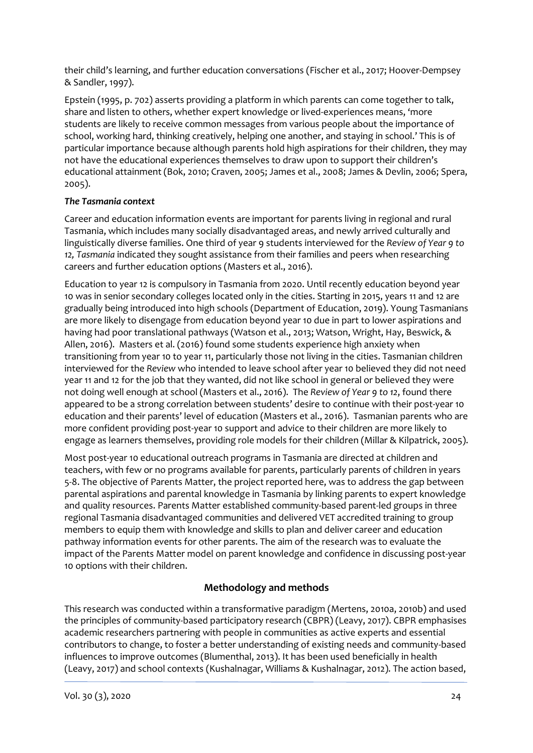their child's learning, and further education conversations (Fischer et al., 2017; Hoover-Dempsey & Sandler, 1997).

Epstein (1995, p. 702) asserts providing a platform in which parents can come together to talk, share and listen to others, whether expert knowledge or lived-experiences means, 'more students are likely to receive common messages from various people about the importance of school, working hard, thinking creatively, helping one another, and staying in school.' This is of particular importance because although parents hold high aspirations for their children, they may not have the educational experiences themselves to draw upon to support their children's educational attainment (Bok, 2010; Craven, 2005; James et al., 2008; James & Devlin, 2006; Spera, 2005).

## *The Tasmania context*

Career and education information events are important for parents living in regional and rural Tasmania, which includes many socially disadvantaged areas, and newly arrived culturally and linguistically diverse families. One third of year 9 students interviewed for the *Review of Year 9 to 12, Tasmania* indicated they sought assistance from their families and peers when researching careers and further education options (Masters et al., 2016).

Education to year 12 is compulsory in Tasmania from 2020. Until recently education beyond year 10 was in senior secondary colleges located only in the cities. Starting in 2015, years 11 and 12 are gradually being introduced into high schools (Department of Education, 2019). Young Tasmanians are more likely to disengage from education beyond year 10 due in part to lower aspirations and having had poor translational pathways (Watson et al., 2013; Watson, Wright, Hay, Beswick, & Allen, 2016). Masters et al. (2016) found some students experience high anxiety when transitioning from year 10 to year 11, particularly those not living in the cities. Tasmanian children interviewed for the *Review* who intended to leave school after year 10 believed they did not need year 11 and 12 for the job that they wanted, did not like school in general or believed they were not doing well enough at school (Masters et al., 2016). The *Review of Year 9 to 12*, found there appeared to be a strong correlation between students' desire to continue with their post-year 10 education and their parents' level of education (Masters et al., 2016). Tasmanian parents who are more confident providing post-year 10 support and advice to their children are more likely to engage as learners themselves, providing role models for their children (Millar & Kilpatrick, 2005).

Most post-year 10 educational outreach programs in Tasmania are directed at children and teachers, with few or no programs available for parents, particularly parents of children in years 5-8. The objective of Parents Matter, the project reported here, was to address the gap between parental aspirations and parental knowledge in Tasmania by linking parents to expert knowledge and quality resources. Parents Matter established community-based parent-led groups in three regional Tasmania disadvantaged communities and delivered VET accredited training to group members to equip them with knowledge and skills to plan and deliver career and education pathway information events for other parents. The aim of the research was to evaluate the impact of the Parents Matter model on parent knowledge and confidence in discussing post-year 10 options with their children.

## **Methodology and methods**

This research was conducted within a transformative paradigm (Mertens, 2010a, 2010b) and used the principles of community-based participatory research (CBPR) (Leavy, 2017). CBPR emphasises academic researchers partnering with people in communities as active experts and essential contributors to change, to foster a better understanding of existing needs and community-based influences to improve outcomes (Blumenthal, 2013). It has been used beneficially in health (Leavy, 2017) and school contexts (Kushalnagar, Williams & Kushalnagar, 2012). The action based,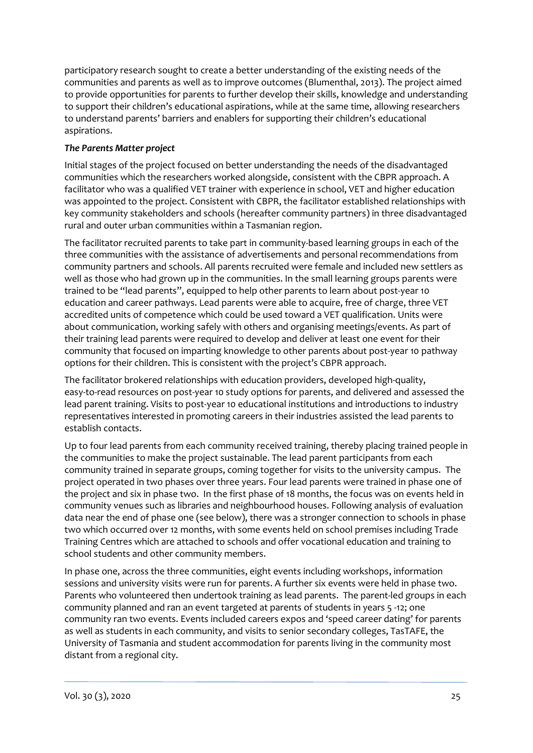participatory research sought to create a better understanding of the existing needs of the communities and parents as well as to improve outcomes (Blumenthal, 2013). The project aimed to provide opportunities for parents to further develop their skills, knowledge and understanding to support their children's educational aspirations, while at the same time, allowing researchers to understand parents' barriers and enablers for supporting their children's educational aspirations.

## *The Parents Matter project*

Initial stages of the project focused on better understanding the needs of the disadvantaged communities which the researchers worked alongside, consistent with the CBPR approach. A facilitator who was a qualified VET trainer with experience in school, VET and higher education was appointed to the project. Consistent with CBPR, the facilitator established relationships with key community stakeholders and schools (hereafter community partners) in three disadvantaged rural and outer urban communities within a Tasmanian region.

The facilitator recruited parents to take part in community-based learning groups in each of the three communities with the assistance of advertisements and personal recommendations from community partners and schools. All parents recruited were female and included new settlers as well as those who had grown up in the communities. In the small learning groups parents were trained to be "lead parents", equipped to help other parents to learn about post-year 10 education and career pathways. Lead parents were able to acquire, free of charge, three VET accredited units of competence which could be used toward a VET qualification. Units were about communication, working safely with others and organising meetings/events. As part of their training lead parents were required to develop and deliver at least one event for their community that focused on imparting knowledge to other parents about post-year 10 pathway options for their children. This is consistent with the project's CBPR approach.

The facilitator brokered relationships with education providers, developed high-quality, easy-to-read resources on post-year 10 study options for parents, and delivered and assessed the lead parent training. Visits to post-year 10 educational institutions and introductions to industry representatives interested in promoting careers in their industries assisted the lead parents to establish contacts.

Up to four lead parents from each community received training, thereby placing trained people in the communities to make the project sustainable. The lead parent participants from each community trained in separate groups, coming together for visits to the university campus. The project operated in two phases over three years. Four lead parents were trained in phase one of the project and six in phase two. In the first phase of 18 months, the focus was on events held in community venues such as libraries and neighbourhood houses. Following analysis of evaluation data near the end of phase one (see below), there was a stronger connection to schools in phase two which occurred over 12 months, with some events held on school premises including Trade Training Centres which are attached to schools and offer vocational education and training to school students and other community members.

In phase one, across the three communities, eight events including workshops, information sessions and university visits were run for parents. A further six events were held in phase two. Parents who volunteered then undertook training as lead parents. The parent-led groups in each community planned and ran an event targeted at parents of students in years 5 -12; one community ran two events. Events included careers expos and 'speed career dating' for parents as well as students in each community, and visits to senior secondary colleges, TasTAFE, the University of Tasmania and student accommodation for parents living in the community most distant from a regional city.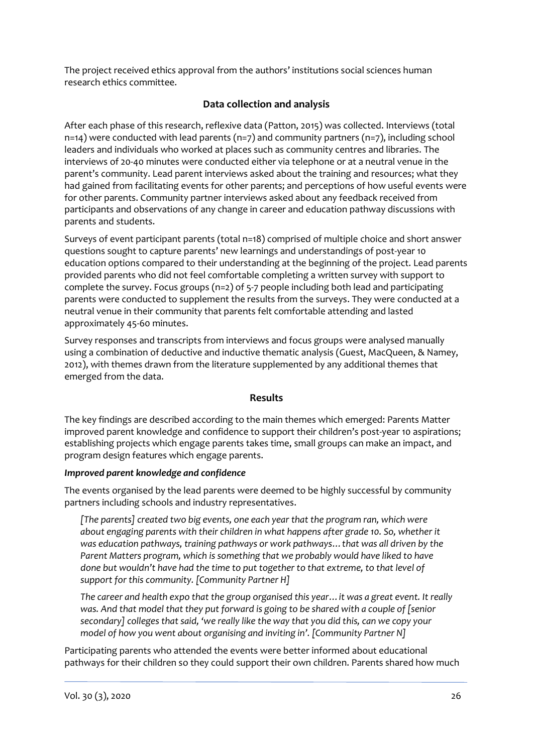The project received ethics approval from the authors' institutions social sciences human research ethics committee.

## **Data collection and analysis**

After each phase of this research, reflexive data (Patton, 2015) was collected. Interviews (total  $n=14$ ) were conducted with lead parents ( $n=7$ ) and community partners ( $n=7$ ), including school leaders and individuals who worked at places such as community centres and libraries. The interviews of 20-40 minutes were conducted either via telephone or at a neutral venue in the parent's community. Lead parent interviews asked about the training and resources; what they had gained from facilitating events for other parents; and perceptions of how useful events were for other parents. Community partner interviews asked about any feedback received from participants and observations of any change in career and education pathway discussions with parents and students.

Surveys of event participant parents (total n=18) comprised of multiple choice and short answer questions sought to capture parents' new learnings and understandings of post-year 10 education options compared to their understanding at the beginning of the project. Lead parents provided parents who did not feel comfortable completing a written survey with support to complete the survey. Focus groups  $(n=2)$  of 5-7 people including both lead and participating parents were conducted to supplement the results from the surveys. They were conducted at a neutral venue in their community that parents felt comfortable attending and lasted approximately 45-60 minutes.

Survey responses and transcripts from interviews and focus groups were analysed manually using a combination of deductive and inductive thematic analysis (Guest, MacQueen, & Namey, 2012), with themes drawn from the literature supplemented by any additional themes that emerged from the data.

#### **Results**

The key findings are described according to the main themes which emerged: Parents Matter improved parent knowledge and confidence to support their children's post-year 10 aspirations; establishing projects which engage parents takes time, small groups can make an impact, and program design features which engage parents.

## *Improved parent knowledge and confidence*

The events organised by the lead parents were deemed to be highly successful by community partners including schools and industry representatives.

*[The parents] created two big events, one each year that the program ran, which were about engaging parents with their children in what happens after grade 10. So, whether it was education pathways, training pathways or work pathways…that was all driven by the*  Parent Matters program, which is something that we probably would have liked to have *done but wouldn't have had the time to put together to that extreme, to that level of support for this community. [Community Partner H]*

*The career and health expo that the group organised this year…it was a great event. It really was. And that model that they put forward is going to be shared with a couple of [senior secondary] colleges that said, 'we really like the way that you did this, can we copy your model of how you went about organising and inviting in'. [Community Partner N]*

Participating parents who attended the events were better informed about educational pathways for their children so they could support their own children. Parents shared how much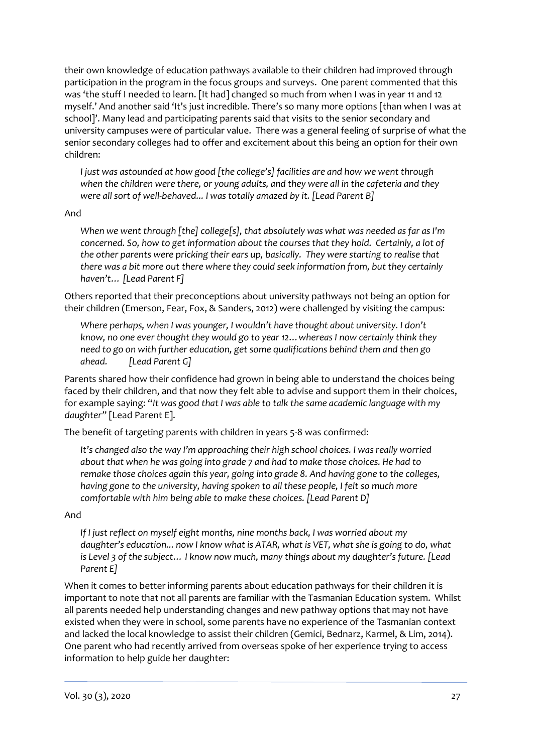their own knowledge of education pathways available to their children had improved through participation in the program in the focus groups and surveys. One parent commented that this was 'the stuff I needed to learn. [It had] changed so much from when I was in year 11 and 12 myself.' And another said 'It's just incredible. There's so many more options [than when I was at school]'. Many lead and participating parents said that visits to the senior secondary and university campuses were of particular value. There was a general feeling of surprise of what the senior secondary colleges had to offer and excitement about this being an option for their own children:

*I just was astounded at how good [the college's] facilities are and how we went through when the children were there, or young adults, and they were all in the cafeteria and they were all sort of well-behaved... I was totally amazed by it. [Lead Parent B]*

#### And

*When we went through [the] college[s], that absolutely was what was needed as far as I'm concerned. So, how to get information about the courses that they hold. Certainly, a lot of the other parents were pricking their ears up, basically. They were starting to realise that there was a bit more out there where they could seek information from, but they certainly haven't… [Lead Parent F]* 

Others reported that their preconceptions about university pathways not being an option for their children (Emerson, Fear, Fox, & Sanders, 2012) were challenged by visiting the campus:

*Where perhaps, when I was younger, I wouldn't have thought about university. I don't know, no one ever thought they would go to year 12…whereas I now certainly think they need to go on with further education, get some qualifications behind them and then go ahead. [Lead Parent G]*

Parents shared how their confidence had grown in being able to understand the choices being faced by their children, and that now they felt able to advise and support them in their choices, for example saying: "*It was good that I was able to talk the same academic language with my daughter"* [Lead Parent E].

The benefit of targeting parents with children in years 5-8 was confirmed:

*It's changed also the way I'm approaching their high school choices. I was really worried about that when he was going into grade 7 and had to make those choices. He had to remake those choices again this year, going into grade 8. And having gone to the colleges, having gone to the university, having spoken to all these people, I felt so much more comfortable with him being able to make these choices. [Lead Parent D]*

#### And

*If I just reflect on myself eight months, nine months back, I was worried about my daughter's education... now I know what is ATAR, what is VET, what she is going to do, what is Level 3 of the subject… I know now much, many things about my daughter's future. [Lead Parent E]*

When it comes to better informing parents about education pathways for their children it is important to note that not all parents are familiar with the Tasmanian Education system. Whilst all parents needed help understanding changes and new pathway options that may not have existed when they were in school, some parents have no experience of the Tasmanian context and lacked the local knowledge to assist their children (Gemici, Bednarz, Karmel, & Lim, 2014). One parent who had recently arrived from overseas spoke of her experience trying to access information to help guide her daughter: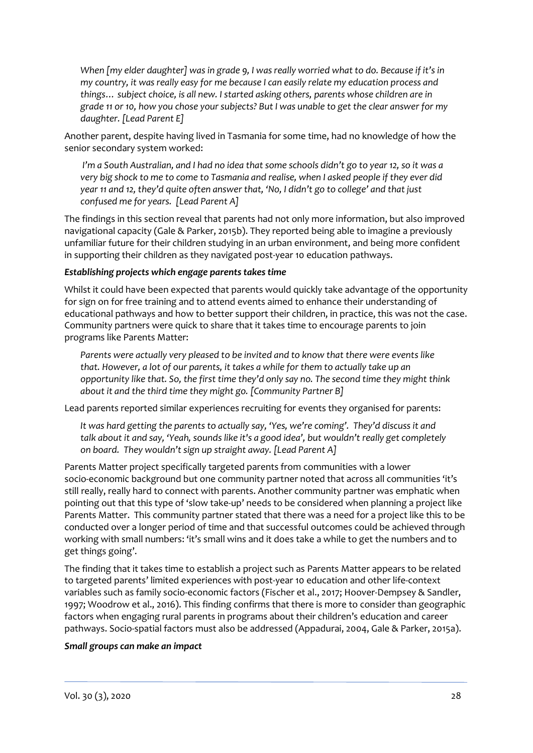*When [my elder daughter] was in grade 9, I was really worried what to do. Because if it's in my country, it was really easy for me because I can easily relate my education process and things… subject choice, is all new. I started asking others, parents whose children are in grade 11 or 10, how you chose your subjects? But I was unable to get the clear answer for my daughter. [Lead Parent E]*

Another parent, despite having lived in Tasmania for some time, had no knowledge of how the senior secondary system worked:

*I'm a South Australian, and I had no idea that some schools didn't go to year 12, so it was a very big shock to me to come to Tasmania and realise, when I asked people if they ever did year 11 and 12, they'd quite often answer that, 'No, I didn't go to college' and that just confused me for years. [Lead Parent A]* 

The findings in this section reveal that parents had not only more information, but also improved navigational capacity (Gale & Parker, 2015b). They reported being able to imagine a previously unfamiliar future for their children studying in an urban environment, and being more confident in supporting their children as they navigated post-year 10 education pathways.

#### *Establishing projects which engage parents takes time*

Whilst it could have been expected that parents would quickly take advantage of the opportunity for sign on for free training and to attend events aimed to enhance their understanding of educational pathways and how to better support their children, in practice, this was not the case. Community partners were quick to share that it takes time to encourage parents to join programs like Parents Matter:

*Parents were actually very pleased to be invited and to know that there were events like that. However, a lot of our parents, it takes a while for them to actually take up an opportunity like that. So, the first time they'd only say no. The second time they might think about it and the third time they might go. [Community Partner B]*

Lead parents reported similar experiences recruiting for events they organised for parents:

*It was hard getting the parents to actually say, 'Yes, we're coming'. They'd discuss it and talk about it and say, 'Yeah, sounds like it's a good idea', but wouldn't really get completely on board. They wouldn't sign up straight away. [Lead Parent A]*

Parents Matter project specifically targeted parents from communities with a lower socio-economic background but one community partner noted that across all communities 'it's still really, really hard to connect with parents. Another community partner was emphatic when pointing out that this type of 'slow take-up' needs to be considered when planning a project like Parents Matter. This community partner stated that there was a need for a project like this to be conducted over a longer period of time and that successful outcomes could be achieved through working with small numbers: 'it's small wins and it does take a while to get the numbers and to get things going'.

The finding that it takes time to establish a project such as Parents Matter appears to be related to targeted parents' limited experiences with post-year 10 education and other life-context variables such as family socio-economic factors (Fischer et al., 2017; Hoover-Dempsey & Sandler, 1997; Woodrow et al., 2016). This finding confirms that there is more to consider than geographic factors when engaging rural parents in programs about their children's education and career pathways. Socio-spatial factors must also be addressed (Appadurai, 2004, Gale & Parker, 2015a).

#### *Small groups can make an impact*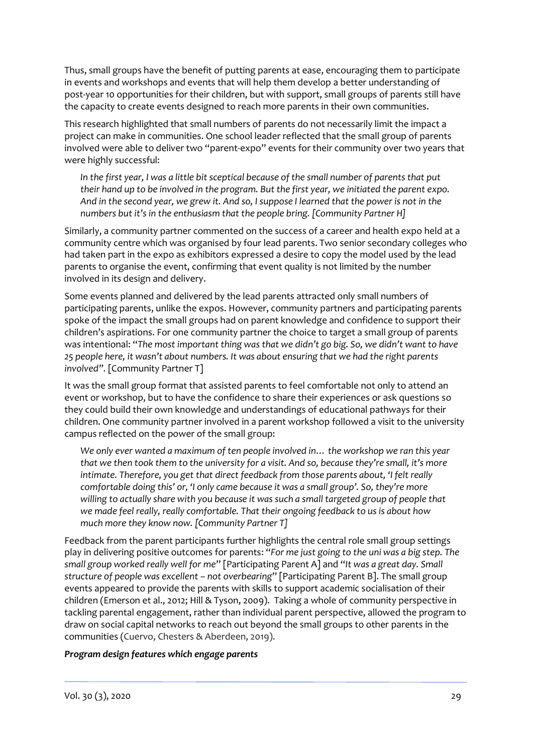Thus, small groups have the benefit of putting parents at ease, encouraging them to participate in events and workshops and events that will help them develop a better understanding of post-year 10 opportunities for their children, but with support, small groups of parents still have the capacity to create events designed to reach more parents in their own communities.

This research highlighted that small numbers of parents do not necessarily limit the impact a project can make in communities. One school leader reflected that the small group of parents involved were able to deliver two "parent-expo" events for their community over two years that were highly successful:

*In the first year, I was a little bit sceptical because of the small number of parents that put their hand up to be involved in the program. But the first year, we initiated the parent expo. And in the second year, we grew it. And so, I suppose I learned that the power is not in the numbers but it's in the enthusiasm that the people bring. [Community Partner H]*

Similarly, a community partner commented on the success of a career and health expo held at a community centre which was organised by four lead parents. Two senior secondary colleges who had taken part in the expo as exhibitors expressed a desire to copy the model used by the lead parents to organise the event, confirming that event quality is not limited by the number involved in its design and delivery.

Some events planned and delivered by the lead parents attracted only small numbers of participating parents, unlike the expos. However, community partners and participating parents spoke of the impact the small groups had on parent knowledge and confidence to support their children's aspirations. For one community partner the choice to target a small group of parents was intentional: "*The most important thing was that we didn't go big. So, we didn't want to have 25 people here, it wasn't about numbers. It was about ensuring that we had the right parents involved".* [Community Partner T]

It was the small group format that assisted parents to feel comfortable not only to attend an event or workshop, but to have the confidence to share their experiences or ask questions so they could build their own knowledge and understandings of educational pathways for their children. One community partner involved in a parent workshop followed a visit to the university campus reflected on the power of the small group:

*We only ever wanted a maximum of ten people involved in… the workshop we ran this year that we then took them to the university for a visit. And so, because they're small, it's more intimate. Therefore, you get that direct feedback from those parents about, 'I felt really comfortable doing this' or, 'I only came because it was a small group'. So, they're more willing to actually share with you because it was such a small targeted group of people that we made feel really, really comfortable. That their ongoing feedback to us is about how much more they know now. [Community Partner T]*

Feedback from the parent participants further highlights the central role small group settings play in delivering positive outcomes for parents: "*For me just going to the uni was a big step. The small group worked really well for me*" [Participating Parent A] and "*It was a great day. Small structure of people was excellent – not overbearing*" [Participating Parent B]. The small group events appeared to provide the parents with skills to support academic socialisation of their children (Emerson et al., 2012; Hill & Tyson, 2009). Taking a whole of community perspective in tackling parental engagement, rather than individual parent perspective, allowed the program to draw on social capital networks to reach out beyond the small groups to other parents in the communities (Cuervo, Chesters & Aberdeen, 2019).

#### *Program design features which engage parents*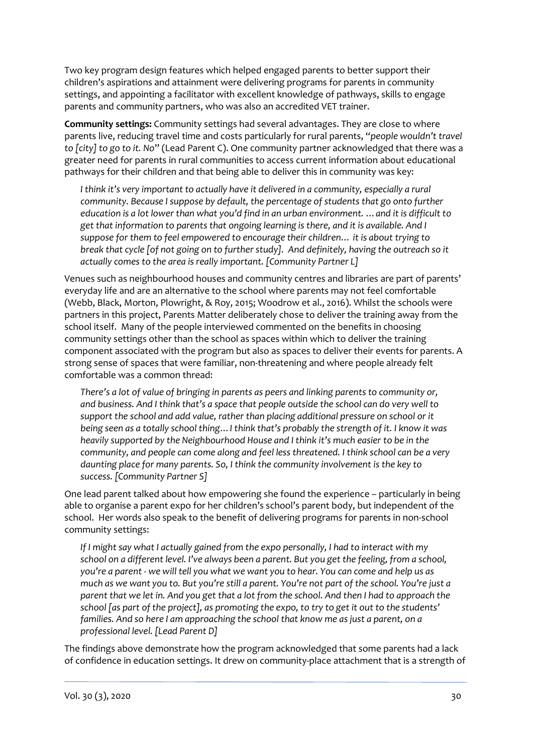Two key program design features which helped engaged parents to better support their children's aspirations and attainment were delivering programs for parents in community settings, and appointing a facilitator with excellent knowledge of pathways, skills to engage parents and community partners, who was also an accredited VET trainer.

**Community settings:** Community settings had several advantages. They are close to where parents live, reducing travel time and costs particularly for rural parents, "*people wouldn't travel to [city] to go to it. No*" (Lead Parent C). One community partner acknowledged that there was a greater need for parents in rural communities to access current information about educational pathways for their children and that being able to deliver this in community was key:

*I think it's very important to actually have it delivered in a community, especially a rural community. Because I suppose by default, the percentage of students that go onto further education is a lot lower than what you'd find in an urban environment. …and it is difficult to get that information to parents that ongoing learning is there, and it is available. And I suppose for them to feel empowered to encourage their children… it is about trying to break that cycle [of not going on to further study]. And definitely, having the outreach so it actually comes to the area is really important. [Community Partner L]*

Venues such as neighbourhood houses and community centres and libraries are part of parents' everyday life and are an alternative to the school where parents may not feel comfortable (Webb, Black, Morton, Plowright, & Roy, 2015; Woodrow et al., 2016). Whilst the schools were partners in this project, Parents Matter deliberately chose to deliver the training away from the school itself. Many of the people interviewed commented on the benefits in choosing community settings other than the school as spaces within which to deliver the training component associated with the program but also as spaces to deliver their events for parents. A strong sense of spaces that were familiar, non-threatening and where people already felt comfortable was a common thread:

*There's a lot of value of bringing in parents as peers and linking parents to community or, and business. And I think that's a space that people outside the school can do very well to support the school and add value, rather than placing additional pressure on school or it being seen as a totally school thing…I think that's probably the strength of it. I know it was heavily supported by the Neighbourhood House and I think it's much easier to be in the community, and people can come along and feel less threatened. I think school can be a very daunting place for many parents. So, I think the community involvement is the key to success. [Community Partner S]*

One lead parent talked about how empowering she found the experience – particularly in being able to organise a parent expo for her children's school's parent body, but independent of the school. Her words also speak to the benefit of delivering programs for parents in non-school community settings:

*If I might say what I actually gained from the expo personally, I had to interact with my school on a different level. I've always been a parent. But you get the feeling, from a school, you're a parent - we will tell you what we want you to hear. You can come and help us as much as we want you to. But you're still a parent. You're not part of the school. You're just a parent that we let in. And you get that a lot from the school. And then I had to approach the school [as part of the project], as promoting the expo, to try to get it out to the students' families. And so here I am approaching the school that know me as just a parent, on a professional level. [Lead Parent D]*

The findings above demonstrate how the program acknowledged that some parents had a lack of confidence in education settings. It drew on community-place attachment that is a strength of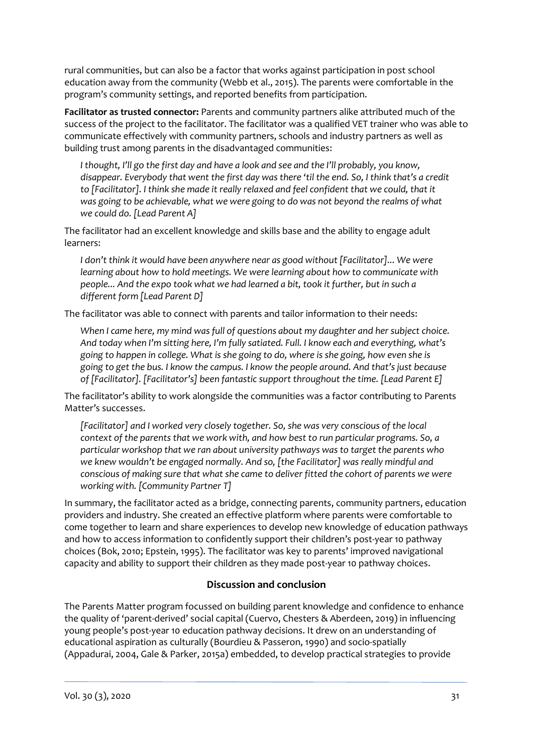rural communities, but can also be a factor that works against participation in post school education away from the community (Webb et al., 2015). The parents were comfortable in the program's community settings, and reported benefits from participation.

**Facilitator as trusted connector:** Parents and community partners alike attributed much of the success of the project to the facilitator. The facilitator was a qualified VET trainer who was able to communicate effectively with community partners, schools and industry partners as well as building trust among parents in the disadvantaged communities:

*I thought, I'll go the first day and have a look and see and the I'll probably, you know, disappear. Everybody that went the first day was there 'til the end. So, I think that's a credit to [Facilitator]. I think she made it really relaxed and feel confident that we could, that it was going to be achievable, what we were going to do was not beyond the realms of what we could do. [Lead Parent A]*

The facilitator had an excellent knowledge and skills base and the ability to engage adult learners:

*I don't think it would have been anywhere near as good without [Facilitator]... We were learning about how to hold meetings. We were learning about how to communicate with people... And the expo took what we had learned a bit, took it further, but in such a different form [Lead Parent D]*

The facilitator was able to connect with parents and tailor information to their needs:

*When I came here, my mind was full of questions about my daughter and her subject choice. And today when I'm sitting here, I'm fully satiated. Full. I know each and everything, what's going to happen in college. What is she going to do, where is she going, how even she is going to get the bus. I know the campus. I know the people around. And that's just because of [Facilitator]. [Facilitator's] been fantastic support throughout the time. [Lead Parent E]*

The facilitator's ability to work alongside the communities was a factor contributing to Parents Matter's successes.

*[Facilitator] and I worked very closely together. So, she was very conscious of the local context of the parents that we work with, and how best to run particular programs. So, a particular workshop that we ran about university pathways was to target the parents who we knew wouldn't be engaged normally. And so, [the Facilitator] was really mindful and conscious of making sure that what she came to deliver fitted the cohort of parents we were working with. [Community Partner T]*

In summary, the facilitator acted as a bridge, connecting parents, community partners, education providers and industry. She created an effective platform where parents were comfortable to come together to learn and share experiences to develop new knowledge of education pathways and how to access information to confidently support their children's post-year 10 pathway choices (Bok, 2010; Epstein, 1995). The facilitator was key to parents' improved navigational capacity and ability to support their children as they made post-year 10 pathway choices.

## **Discussion and conclusion**

The Parents Matter program focussed on building parent knowledge and confidence to enhance the quality of 'parent-derived' social capital (Cuervo, Chesters & Aberdeen, 2019) in influencing young people's post-year 10 education pathway decisions. It drew on an understanding of educational aspiration as culturally (Bourdieu & Passeron, 1990) and socio-spatially (Appadurai, 2004, Gale & Parker, 2015a) embedded, to develop practical strategies to provide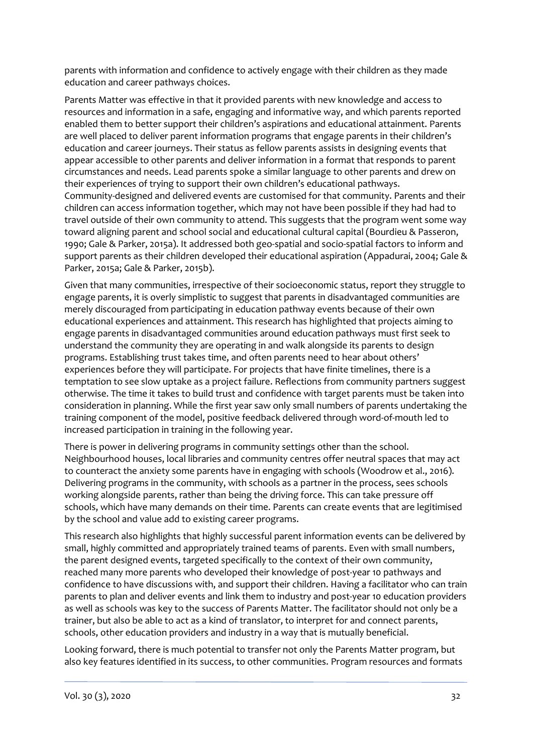parents with information and confidence to actively engage with their children as they made education and career pathways choices.

Parents Matter was effective in that it provided parents with new knowledge and access to resources and information in a safe, engaging and informative way, and which parents reported enabled them to better support their children's aspirations and educational attainment. Parents are well placed to deliver parent information programs that engage parents in their children's education and career journeys. Their status as fellow parents assists in designing events that appear accessible to other parents and deliver information in a format that responds to parent circumstances and needs. Lead parents spoke a similar language to other parents and drew on their experiences of trying to support their own children's educational pathways. Community-designed and delivered events are customised for that community. Parents and their children can access information together, which may not have been possible if they had had to travel outside of their own community to attend. This suggests that the program went some way toward aligning parent and school social and educational cultural capital (Bourdieu & Passeron, 1990; Gale & Parker, 2015a). It addressed both geo-spatial and socio-spatial factors to inform and support parents as their children developed their educational aspiration (Appadurai, 2004; Gale & Parker, 2015a; Gale & Parker, 2015b).

Given that many communities, irrespective of their socioeconomic status, report they struggle to engage parents, it is overly simplistic to suggest that parents in disadvantaged communities are merely discouraged from participating in education pathway events because of their own educational experiences and attainment. This research has highlighted that projects aiming to engage parents in disadvantaged communities around education pathways must first seek to understand the community they are operating in and walk alongside its parents to design programs. Establishing trust takes time, and often parents need to hear about others' experiences before they will participate. For projects that have finite timelines, there is a temptation to see slow uptake as a project failure. Reflections from community partners suggest otherwise. The time it takes to build trust and confidence with target parents must be taken into consideration in planning. While the first year saw only small numbers of parents undertaking the training component of the model, positive feedback delivered through word-of-mouth led to increased participation in training in the following year.

There is power in delivering programs in community settings other than the school. Neighbourhood houses, local libraries and community centres offer neutral spaces that may act to counteract the anxiety some parents have in engaging with schools (Woodrow et al., 2016). Delivering programs in the community, with schools as a partner in the process, sees schools working alongside parents, rather than being the driving force. This can take pressure off schools, which have many demands on their time. Parents can create events that are legitimised by the school and value add to existing career programs.

This research also highlights that highly successful parent information events can be delivered by small, highly committed and appropriately trained teams of parents. Even with small numbers, the parent designed events, targeted specifically to the context of their own community, reached many more parents who developed their knowledge of post-year 10 pathways and confidence to have discussions with, and support their children. Having a facilitator who can train parents to plan and deliver events and link them to industry and post-year 10 education providers as well as schools was key to the success of Parents Matter. The facilitator should not only be a trainer, but also be able to act as a kind of translator, to interpret for and connect parents, schools, other education providers and industry in a way that is mutually beneficial.

Looking forward, there is much potential to transfer not only the Parents Matter program, but also key features identified in its success, to other communities. Program resources and formats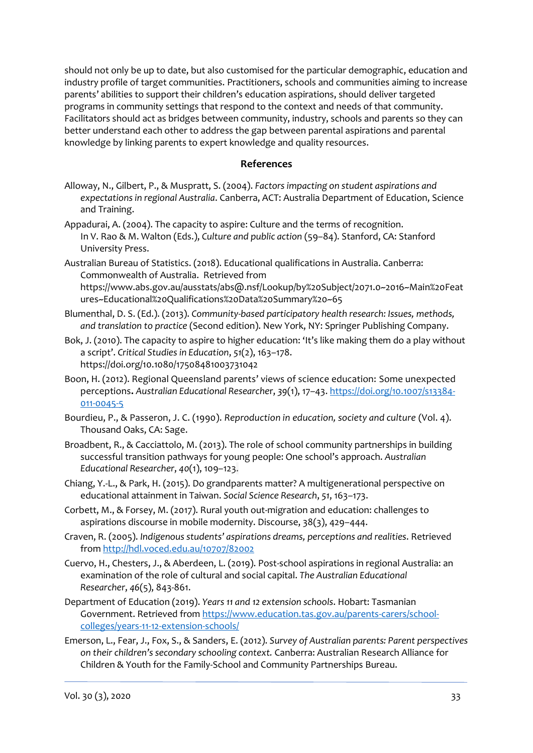should not only be up to date, but also customised for the particular demographic, education and industry profile of target communities. Practitioners, schools and communities aiming to increase parents' abilities to support their children's education aspirations, should deliver targeted programs in community settings that respond to the context and needs of that community. Facilitators should act as bridges between community, industry, schools and parents so they can better understand each other to address the gap between parental aspirations and parental knowledge by linking parents to expert knowledge and quality resources.

#### **References**

- Alloway, N., Gilbert, P., & Muspratt, S. (2004). *Factors impacting on student aspirations and expectations in regional Australia*. Canberra, ACT: Australia Department of Education, Science and Training.
- Appadurai, A. (2004). The capacity to aspire: Culture and the terms of recognition. In V. Rao & M. Walton (Eds.), *Culture and public action* (59–84). Stanford, CA: Stanford University Press.
- Australian Bureau of Statistics. (2018). Educational qualifications in Australia. Canberra: Commonwealth of Australia. Retrieved from

[https://www.abs.gov.au/ausstats/abs@.nsf/Lookup/by%20Subject/2071.0~2016~Main%20Feat](https://www.abs.gov.au/ausstats/abs@.nsf/Lookup/by%20Subject/2071.0~2016~Main%20Features~Educational%20Qualifications%20Data%20Summary%20~65) [ures~Educational%20Qualifications%20Data%20Summary%20~65](https://www.abs.gov.au/ausstats/abs@.nsf/Lookup/by%20Subject/2071.0~2016~Main%20Features~Educational%20Qualifications%20Data%20Summary%20~65)

- Blumenthal, D. S. (Ed.). (2013). *Community-based participatory health research: Issues, methods, and translation to practice* (Second edition). New York, NY: Springer Publishing Company.
- Bok, J. (2010). The capacity to aspire to higher education: 'It's like making them do a play without a script'. *Critical Studies in Education*, *51*(2), 163–178. https://doi.org/10.1080/17508481003731042
- Boon, H. (2012). Regional Queensland parents' views of science education: Some unexpected perceptions**.** *Australian Educational Researche*r, *39*(1), 17–43[. https://doi.org/10.1007/s13384-](https://doi.org/10.1007/s13384-011-0045-5) [011-0045-5](https://doi.org/10.1007/s13384-011-0045-5)
- Bourdieu, P., & Passeron, J. C. (1990). *Reproduction in education, society and culture* (Vol. 4). Thousand Oaks, CA: Sage.
- Broadbent, R., & Cacciattolo, M. (2013). The role of school community partnerships in building successful transition pathways for young people: One school's approach. *Australian Educational Researcher*, *40*(1), 109–123.
- Chiang, Y.-L., & Park, H. (2015). Do grandparents matter? A multigenerational perspective on educational attainment in Taiwan. *Social Science Research*, *51*, 163–173.
- Corbett, M., & Forsey, M. (2017). Rural youth out-migration and education: challenges to aspirations discourse in mobile modernity. Discourse, 38(3), 429–444.
- Craven, R. (2005). *Indigenous students' aspirations dreams, perceptions and realities*. Retrieved from<http://hdl.voced.edu.au/10707/82002>
- Cuervo, H., Chesters, J., & Aberdeen, L. (2019). Post-school aspirations in regional Australia: an examination of the role of cultural and social capital. *The Australian Educational Researcher*, *46*(5), 843-861.
- Department of Education (2019). *Years 11 and 12 extension schools*. Hobart: Tasmanian Government. Retrieved from [https://www.education.tas.gov.au/parents-carers/school](https://www.education.tas.gov.au/parents-carers/school-colleges/years-11-12-extension-schools/)[colleges/years-11-12-extension-schools/](https://www.education.tas.gov.au/parents-carers/school-colleges/years-11-12-extension-schools/)
- Emerson, L., Fear, J., Fox, S., & Sanders, E. (2012). *Survey of Australian parents: Parent perspectives on their children's secondary schooling context.* Canberra: Australian Research Alliance for Children & Youth for the Family-School and Community Partnerships Bureau.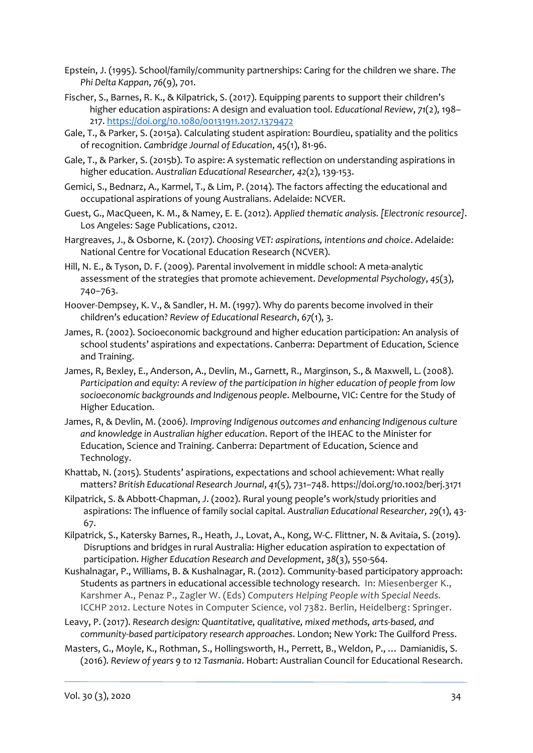- Epstein, J. (1995). School/family/community partnerships: Caring for the children we share. *The Phi Delta Kappan*, *76*(9), 701.
- Fischer, S., Barnes, R. K., & Kilpatrick, S. (2017). Equipping parents to support their children's higher education aspirations: A design and evaluation tool. *Educational Review*, *71*(2), 198– 217. <https://doi.org/10.1080/00131911.2017.1379472>
- Gale, T., & Parker, S. (2015a). Calculating student aspiration: Bourdieu, spatiality and the politics of recognition. *Cambridge Journal of Education*, 45(1), 81-96.
- Gale, T., & Parker, S. (2015b). To aspire: A systematic reflection on understanding aspirations in higher education. *Australian Educational Researcher, 42*(2), 139-153.
- Gemici, S., Bednarz, A., Karmel, T., & Lim, P. (2014). The factors affecting the educational and occupational aspirations of young Australians. Adelaide: NCVER.
- Guest, G., MacQueen, K. M., & Namey, E. E. (2012). *Applied thematic analysis. [Electronic resource]*. Los Angeles: Sage Publications, c2012.
- Hargreaves, J., & Osborne, K. (2017). *Choosing VET: aspirations, intentions and choice*. Adelaide: National Centre for Vocational Education Research (NCVER).
- Hill, N. E., & Tyson, D. F. (2009). Parental involvement in middle school: A meta-analytic assessment of the strategies that promote achievement. *Developmental Psychology*, *45*(3), 740–763.
- Hoover-Dempsey, K. V., & Sandler, H. M. (1997). Why do parents become involved in their children's education? *Review of Educational Research*, *67*(1), 3.
- James, R. (2002). Socioeconomic background and higher education participation: An analysis of school students' aspirations and expectations. Canberra: Department of Education, Science and Training.
- James, R, Bexley, E., Anderson, A., Devlin, M., Garnett, R., Marginson, S., & Maxwell, L. (2008). *Participation and equity: A review of the participation in higher education of people from low socioeconomic backgrounds and Indigenous people*. Melbourne, VIC: Centre for the Study of Higher Education.
- James, R, & Devlin, M. (2006*). Improving Indigenous outcomes and enhancing Indigenous culture and knowledge in Australian higher education*. Report of the IHEAC to the Minister for Education, Science and Training. Canberra: Department of Education, Science and Technology.
- Khattab, N. (2015). Students' aspirations, expectations and school achievement: What really matters? *British Educational Research Journal*, *41*(5), 731–748. https://doi.org/10.1002/berj.3171
- Kilpatrick, S. & Abbott-Chapman, J. (2002). Rural young people's work/study priorities and aspirations: The influence of family social capital. *Australian Educational Researcher, 29*(1), 43- 67.
- Kilpatrick, S., Katersky Barnes, R., Heath, J., Lovat, A., Kong, W-C. Flittner, N. & Avitaia, S. (2019). Disruptions and bridges in rural Australia: Higher education aspiration to expectation of participation. *Higher Education Research and Development*, *38*(3), 550-564.
- Kushalnagar, P., Williams, B. & Kushalnagar, R. (2012). Community-based participatory approach: Students as partners in educational accessible technology research. In: Miesenberger K., Karshmer A., Penaz P., Zagler W. (Eds) *Computers Helping People with Special Needs.* ICCHP 2012. Lecture Notes in Computer Science, vol 7382. Berlin, Heidelberg: Springer.
- Leavy, P. (2017). *Research design: Quantitative, qualitative, mixed methods, arts-based, and community-based participatory research approaches*. London; New York: The Guilford Press.
- Masters, G., Moyle, K., Rothman, S., Hollingsworth, H., Perrett, B., Weldon, P., … Damianidis, S. (2016). *Review of years 9 to 12 Tasmania*. Hobart: Australian Council for Educational Research.